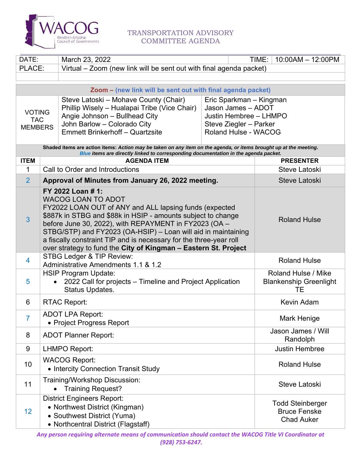

## TRANSPORTATION ADVISORY COMMITTEE AGENDA

| DATE:                                                                                                                                                                                                    |                                                                                                                                                                                                                                                                                                                                                                                                                                             | March 23, 2022                                                                                                   |  |  | TIME: | 10:00AM - 12:00PM                                                   |  |
|----------------------------------------------------------------------------------------------------------------------------------------------------------------------------------------------------------|---------------------------------------------------------------------------------------------------------------------------------------------------------------------------------------------------------------------------------------------------------------------------------------------------------------------------------------------------------------------------------------------------------------------------------------------|------------------------------------------------------------------------------------------------------------------|--|--|-------|---------------------------------------------------------------------|--|
| PLACE:                                                                                                                                                                                                   |                                                                                                                                                                                                                                                                                                                                                                                                                                             | Virtual – Zoom (new link will be sent out with final agenda packet)                                              |  |  |       |                                                                     |  |
|                                                                                                                                                                                                          |                                                                                                                                                                                                                                                                                                                                                                                                                                             |                                                                                                                  |  |  |       |                                                                     |  |
| Zoom - (new link will be sent out with final agenda packet)                                                                                                                                              |                                                                                                                                                                                                                                                                                                                                                                                                                                             |                                                                                                                  |  |  |       |                                                                     |  |
|                                                                                                                                                                                                          |                                                                                                                                                                                                                                                                                                                                                                                                                                             | Steve Latoski – Mohave County (Chair)<br>Eric Sparkman - Kingman                                                 |  |  |       |                                                                     |  |
| <b>VOTING</b>                                                                                                                                                                                            |                                                                                                                                                                                                                                                                                                                                                                                                                                             | Jason James - ADOT<br>Phillip Wisely - Hualapai Tribe (Vice Chair)                                               |  |  |       |                                                                     |  |
| <b>TAC</b>                                                                                                                                                                                               |                                                                                                                                                                                                                                                                                                                                                                                                                                             | Angie Johnson - Bullhead City<br>Justin Hembree - LHMPO<br>John Barlow - Colorado City<br>Steve Ziegler - Parker |  |  |       |                                                                     |  |
| <b>MEMBERS</b>                                                                                                                                                                                           |                                                                                                                                                                                                                                                                                                                                                                                                                                             | <b>Emmett Brinkerhoff - Quartzsite</b><br><b>Roland Hulse - WACOG</b>                                            |  |  |       |                                                                     |  |
|                                                                                                                                                                                                          |                                                                                                                                                                                                                                                                                                                                                                                                                                             |                                                                                                                  |  |  |       |                                                                     |  |
| Shaded items are action items: Action may be taken on any item on the agenda, or items brought up at the meeting.<br>Blue items are directly linked to corresponding documentation in the agenda packet. |                                                                                                                                                                                                                                                                                                                                                                                                                                             |                                                                                                                  |  |  |       |                                                                     |  |
| <b>ITEM</b>                                                                                                                                                                                              |                                                                                                                                                                                                                                                                                                                                                                                                                                             | <b>AGENDA ITEM</b>                                                                                               |  |  |       | <b>PRESENTER</b>                                                    |  |
| 1                                                                                                                                                                                                        |                                                                                                                                                                                                                                                                                                                                                                                                                                             | Call to Order and Introductions                                                                                  |  |  |       | Steve Latoski                                                       |  |
| $\overline{2}$                                                                                                                                                                                           |                                                                                                                                                                                                                                                                                                                                                                                                                                             | Approval of Minutes from January 26, 2022 meeting.                                                               |  |  |       | <b>Steve Latoski</b>                                                |  |
| $\overline{3}$                                                                                                                                                                                           | FY 2022 Loan # 1:<br><b>WACOG LOAN TO ADOT</b><br>FY2022 LOAN OUT of ANY and ALL lapsing funds (expected<br>\$887k in STBG and \$88k in HSIP - amounts subject to change<br>before June 30, 2022), with REPAYMENT in FY2023 (OA -<br>STBG/STP) and FY2023 (OA-HSIP) - Loan will aid in maintaining<br>a fiscally constraint TIP and is necessary for the three-year roll<br>over strategy to fund the City of Kingman - Eastern St. Project |                                                                                                                  |  |  |       | <b>Roland Hulse</b>                                                 |  |
| 4                                                                                                                                                                                                        | STBG Ledger & TIP Review:<br>Administrative Amendments 1.1 & 1.2                                                                                                                                                                                                                                                                                                                                                                            |                                                                                                                  |  |  |       | <b>Roland Hulse</b>                                                 |  |
| 5                                                                                                                                                                                                        | <b>HSIP Program Update:</b><br>2022 Call for projects – Timeline and Project Application<br>$\bullet$<br>Status Updates.                                                                                                                                                                                                                                                                                                                    |                                                                                                                  |  |  |       | Roland Hulse / Mike<br><b>Blankenship Greenlight</b><br>TЕ          |  |
| 6                                                                                                                                                                                                        | <b>RTAC Report:</b>                                                                                                                                                                                                                                                                                                                                                                                                                         |                                                                                                                  |  |  |       | Kevin Adam                                                          |  |
| $\overline{7}$                                                                                                                                                                                           | <b>ADOT LPA Report:</b><br>• Project Progress Report                                                                                                                                                                                                                                                                                                                                                                                        |                                                                                                                  |  |  |       | Mark Henige                                                         |  |
| 8                                                                                                                                                                                                        | <b>ADOT Planner Report:</b>                                                                                                                                                                                                                                                                                                                                                                                                                 |                                                                                                                  |  |  |       | Jason James / Will<br>Randolph                                      |  |
| 9                                                                                                                                                                                                        |                                                                                                                                                                                                                                                                                                                                                                                                                                             | <b>LHMPO Report:</b>                                                                                             |  |  |       | <b>Justin Hembree</b>                                               |  |
| 10                                                                                                                                                                                                       | <b>WACOG Report:</b><br>• Intercity Connection Transit Study                                                                                                                                                                                                                                                                                                                                                                                |                                                                                                                  |  |  |       | <b>Roland Hulse</b>                                                 |  |
| 11                                                                                                                                                                                                       | Training/Workshop Discussion:<br><b>Training Request?</b>                                                                                                                                                                                                                                                                                                                                                                                   |                                                                                                                  |  |  |       | <b>Steve Latoski</b>                                                |  |
| 12                                                                                                                                                                                                       | <b>District Engineers Report:</b><br>• Northwest District (Kingman)<br>• Southwest District (Yuma)<br>• Northcentral District (Flagstaff)                                                                                                                                                                                                                                                                                                   |                                                                                                                  |  |  |       | <b>Todd Steinberger</b><br><b>Bruce Fenske</b><br><b>Chad Auker</b> |  |

*Any person requiring alternate means of communication should contact the WACOG Title VI Coordinator at (928) 753‐6247.*